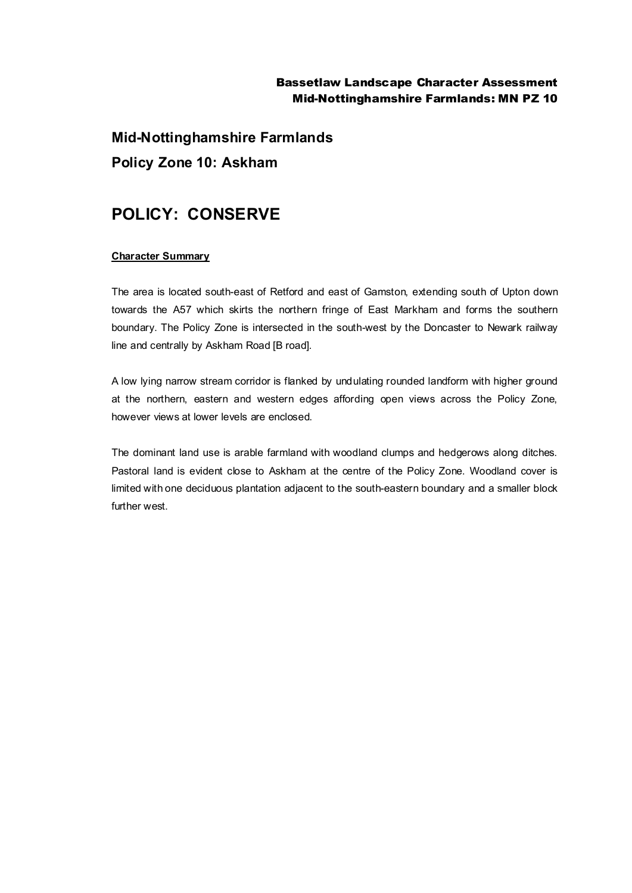## Bassetlaw Landscape Character Assessment Mid-Nottinghamshire Farmlands: MN PZ 10

**Mid-Nottinghamshire Farmlands Policy Zone 10: Askham**

# **POLICY: CONSERVE**

### **Character Summary**

The area is located south-east of Retford and east of Gamston, extending south of Upton down towards the A57 which skirts the northern fringe of East Markham and forms the southern boundary. The Policy Zone is intersected in the south-west by the Doncaster to Newark railway line and centrally by Askham Road [B road].

A low lying narrow stream corridor is flanked by undulating rounded landform with higher ground at the northern, eastern and western edges affording open views across the Policy Zone, however views at lower levels are enclosed.

The dominant land use is arable farmland with woodland clumps and hedgerows along ditches. Pastoral land is evident close to Askham at the centre of the Policy Zone. Woodland cover is limited with one deciduous plantation adjacent to the south-eastern boundary and a smaller block further west.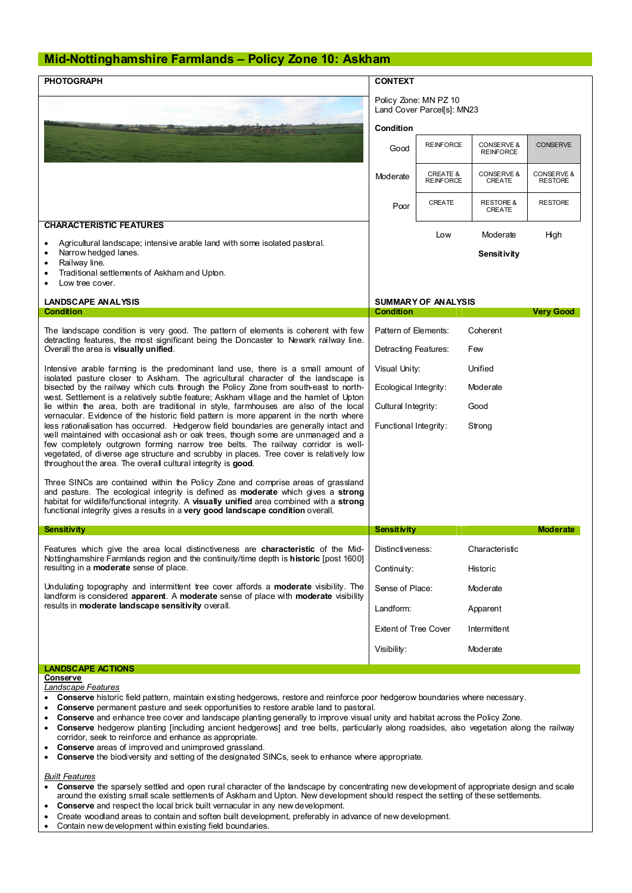#### **Mid-Nottinghamshire Farmlands – Policy Zone 10: Askham**

| <b>PHOTOGRAPH</b>                                                                                                                                                                                                                                                                                                                                                                                                                                                                                                                                                                                                                                                                                                                                                                                                                                                                                                                                                       | <b>CONTEXT</b>                                      |                                         |                                |                              |
|-------------------------------------------------------------------------------------------------------------------------------------------------------------------------------------------------------------------------------------------------------------------------------------------------------------------------------------------------------------------------------------------------------------------------------------------------------------------------------------------------------------------------------------------------------------------------------------------------------------------------------------------------------------------------------------------------------------------------------------------------------------------------------------------------------------------------------------------------------------------------------------------------------------------------------------------------------------------------|-----------------------------------------------------|-----------------------------------------|--------------------------------|------------------------------|
|                                                                                                                                                                                                                                                                                                                                                                                                                                                                                                                                                                                                                                                                                                                                                                                                                                                                                                                                                                         | Policy Zone: MN PZ 10<br>Land Cover Parcel[s]: MN23 |                                         |                                |                              |
|                                                                                                                                                                                                                                                                                                                                                                                                                                                                                                                                                                                                                                                                                                                                                                                                                                                                                                                                                                         | Condition                                           |                                         |                                |                              |
|                                                                                                                                                                                                                                                                                                                                                                                                                                                                                                                                                                                                                                                                                                                                                                                                                                                                                                                                                                         | Good                                                | <b>REINFORCE</b>                        | CONSERVE &<br><b>REINFORCE</b> | <b>CONSERVE</b>              |
|                                                                                                                                                                                                                                                                                                                                                                                                                                                                                                                                                                                                                                                                                                                                                                                                                                                                                                                                                                         | Moderate                                            | <b>CREATE &amp;</b><br><b>REINFORCE</b> | CONSERVE &<br><b>CREATE</b>    | CONSERVE &<br><b>RESTORE</b> |
|                                                                                                                                                                                                                                                                                                                                                                                                                                                                                                                                                                                                                                                                                                                                                                                                                                                                                                                                                                         | Poor                                                | CREATE                                  | <b>RESTORE &amp;</b><br>CREATE | <b>RESTORE</b>               |
| <b>CHARACTERISTIC FEATURES</b>                                                                                                                                                                                                                                                                                                                                                                                                                                                                                                                                                                                                                                                                                                                                                                                                                                                                                                                                          |                                                     | Low                                     | Moderate                       | High                         |
| Agricultural landscape; intensive arable land with some isolated pastoral.<br>$\bullet$<br>Narrow hedged lanes.<br>٠<br>Railway line.<br>$\bullet$                                                                                                                                                                                                                                                                                                                                                                                                                                                                                                                                                                                                                                                                                                                                                                                                                      |                                                     |                                         | Sensitivity                    |                              |
| Traditional settlements of Askham and Upton.<br>٠<br>Low tree cover.                                                                                                                                                                                                                                                                                                                                                                                                                                                                                                                                                                                                                                                                                                                                                                                                                                                                                                    |                                                     |                                         |                                |                              |
| <b>LANDSCAPE ANALYSIS</b>                                                                                                                                                                                                                                                                                                                                                                                                                                                                                                                                                                                                                                                                                                                                                                                                                                                                                                                                               | <b>SUMMARY OF ANALYSIS</b>                          |                                         |                                |                              |
| <b>Condition</b>                                                                                                                                                                                                                                                                                                                                                                                                                                                                                                                                                                                                                                                                                                                                                                                                                                                                                                                                                        | <b>Condition</b>                                    |                                         |                                | <b>Very Good</b>             |
| The landscape condition is very good. The pattern of elements is coherent with few<br>detracting features, the most significant being the Doncaster to Newark railway line.<br>Overall the area is visually unified.                                                                                                                                                                                                                                                                                                                                                                                                                                                                                                                                                                                                                                                                                                                                                    | Pattern of Elements:                                |                                         | Coherent                       |                              |
|                                                                                                                                                                                                                                                                                                                                                                                                                                                                                                                                                                                                                                                                                                                                                                                                                                                                                                                                                                         | Detracting Features:                                |                                         | Few                            |                              |
| Intensive arable farming is the predominant land use, there is a small amount of<br>isolated pasture closer to Askham. The agricultural character of the landscape is<br>bisected by the railway which cuts through the Policy Zone from south-east to north-<br>west. Settlement is a relatively subtle feature; Askham village and the hamlet of Upton<br>lie within the area, both are traditional in style, farmhouses are also of the local<br>vernacular. Evidence of the historic field pattern is more apparent in the north where<br>less rationalisation has occurred. Hedgerow field boundaries are generally intact and<br>well maintained with occasional ash or oak trees, though some are unmanaged and a<br>few completely outgrown forming narrow tree belts. The railway corridor is well-<br>vegetated, of diverse age structure and scrubby in places. Tree cover is relatively low<br>throughout the area. The overall cultural integrity is good. | Visual Unity:                                       |                                         | Unified                        |                              |
|                                                                                                                                                                                                                                                                                                                                                                                                                                                                                                                                                                                                                                                                                                                                                                                                                                                                                                                                                                         | Ecological Integrity:<br>Cultural Integrity:        |                                         | Moderate<br>Good               |                              |
|                                                                                                                                                                                                                                                                                                                                                                                                                                                                                                                                                                                                                                                                                                                                                                                                                                                                                                                                                                         | Functional Integrity:                               |                                         | Strong                         |                              |
| Three SINCs are contained within the Policy Zone and comprise areas of grassland<br>and pasture. The ecological integrity is defined as <b>moderate</b> which gives a <b>strong</b><br>habitat for wildlife/functional integrity. A visually unified area combined with a strong<br>functional integrity gives a results in a very good landscape condition overall.                                                                                                                                                                                                                                                                                                                                                                                                                                                                                                                                                                                                    |                                                     |                                         |                                |                              |
| <b>Sensitivity</b>                                                                                                                                                                                                                                                                                                                                                                                                                                                                                                                                                                                                                                                                                                                                                                                                                                                                                                                                                      | <b>Sensitivity</b>                                  |                                         |                                | <b>Moderate</b>              |
| Features which give the area local distinctiveness are characteristic of the Mid-<br>Nottinghamshire Farmlands region and the continuity/time depth is historic [post 1600]<br>resulting in a moderate sense of place.                                                                                                                                                                                                                                                                                                                                                                                                                                                                                                                                                                                                                                                                                                                                                  |                                                     | Distinctiveness:<br>Characteristic      |                                |                              |
|                                                                                                                                                                                                                                                                                                                                                                                                                                                                                                                                                                                                                                                                                                                                                                                                                                                                                                                                                                         | Continuity:                                         |                                         | Historic                       |                              |
| Undulating topography and intermittent tree cover affords a <b>moderate</b> visibility. The<br>landform is considered apparent. A moderate sense of place with moderate visibility<br>results in moderate landscape sensitivity overall.                                                                                                                                                                                                                                                                                                                                                                                                                                                                                                                                                                                                                                                                                                                                | Sense of Place:<br>Moderate                         |                                         |                                |                              |
|                                                                                                                                                                                                                                                                                                                                                                                                                                                                                                                                                                                                                                                                                                                                                                                                                                                                                                                                                                         | Landform:                                           |                                         | Apparent                       |                              |
|                                                                                                                                                                                                                                                                                                                                                                                                                                                                                                                                                                                                                                                                                                                                                                                                                                                                                                                                                                         | <b>Extent of Tree Cover</b>                         |                                         | Intermittent                   |                              |
|                                                                                                                                                                                                                                                                                                                                                                                                                                                                                                                                                                                                                                                                                                                                                                                                                                                                                                                                                                         | Visibility:                                         |                                         | Moderate                       |                              |
| <b>LANDSCAPE ACTIONS</b>                                                                                                                                                                                                                                                                                                                                                                                                                                                                                                                                                                                                                                                                                                                                                                                                                                                                                                                                                |                                                     |                                         |                                |                              |
| Conserve<br>Landecane Features                                                                                                                                                                                                                                                                                                                                                                                                                                                                                                                                                                                                                                                                                                                                                                                                                                                                                                                                          |                                                     |                                         |                                |                              |

*Landscape Features*

- · **Conserve** historic field pattern, maintain existing hedgerows, restore and reinforce poor hedgerow boundaries where necessary.
- · **Conserve** permanent pasture and seek opportunities to restore arable land to pastoral.
- · **Conserve** and enhance tree cover and landscape planting generally to improve visual unity and habitat across the Policy Zone.
- · **Conserve** hedgerow planting [including ancient hedgerows] and tree belts, particularly along roadsides, also vegetation along the railway corridor, seek to reinforce and enhance as appropriate.
- Conserve areas of improved and unimproved grassland.
- · **Conserve** the biodiversity and setting of the designated SINCs, seek to enhance where appropriate.

#### *Built Features*

- · **Conserve** the sparsely settled and open rural character of the landscape by concentrating new development of appropriate design and scale around the existing small scale settlements of Askham and Upton. New development should respect the setting of these settlements.
- Conserve and respect the local brick built vernacular in any new development.
- Create woodland areas to contain and soften built development, preferably in advance of new development.
- Contain new development within existing field boundaries.